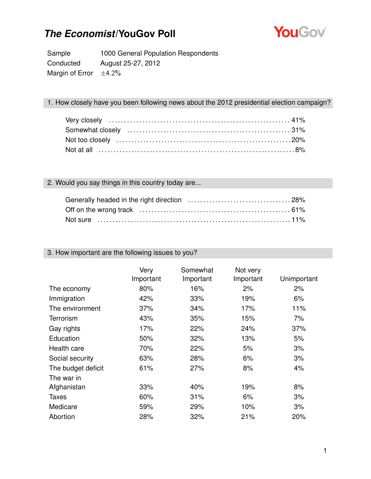

Sample 1000 General Population Respondents Conducted August 25-27, 2012 Margin of Error  $\pm 4.2\%$ 

#### 1. How closely have you been following news about the 2012 presidential election campaign?

#### 2. Would you say things in this country today are...

| Not sure …………………………………………………………………11% |  |
|---------------------------------------|--|

#### 3. How important are the following issues to you?

|                    | Very<br>Important | Somewhat<br>Important | Not very<br>Important | Unimportant |
|--------------------|-------------------|-----------------------|-----------------------|-------------|
| The economy        | 80%               | 16%                   | 2%                    | 2%          |
| Immigration        | 42%               | 33%                   | 19%                   | 6%          |
| The environment    | 37%               | 34%                   | 17%                   | 11%         |
| <b>Terrorism</b>   | 43%               | 35%                   | 15%                   | 7%          |
| Gay rights         | 17%               | 22%                   | 24%                   | 37%         |
| Education          | 50%               | 32%                   | 13%                   | 5%          |
| Health care        | 70%               | 22%                   | 5%                    | 3%          |
| Social security    | 63%               | 28%                   | 6%                    | 3%          |
| The budget deficit | 61%               | 27%                   | 8%                    | 4%          |
| The war in         |                   |                       |                       |             |
| Afghanistan        | 33%               | 40%                   | 19%                   | 8%          |
| <b>Taxes</b>       | 60%               | 31%                   | 6%                    | 3%          |
| Medicare           | 59%               | 29%                   | 10%                   | 3%          |
| Abortion           | 28%               | 32%                   | 21%                   | 20%         |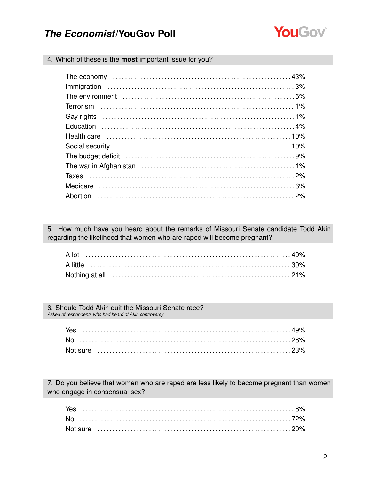

4. Which of these is the most important issue for you?

| The budget deficit (and according to the budget deficit (and according to the budget deficit (and according to the budget of $9\%$ |  |
|------------------------------------------------------------------------------------------------------------------------------------|--|
|                                                                                                                                    |  |
|                                                                                                                                    |  |
|                                                                                                                                    |  |
|                                                                                                                                    |  |
|                                                                                                                                    |  |
|                                                                                                                                    |  |
|                                                                                                                                    |  |
|                                                                                                                                    |  |
|                                                                                                                                    |  |
|                                                                                                                                    |  |
|                                                                                                                                    |  |
|                                                                                                                                    |  |

5. How much have you heard about the remarks of Missouri Senate candidate Todd Akin regarding the likelihood that women who are raped will become pregnant?

6. Should Todd Akin quit the Missouri Senate race? Asked of respondents who had heard of Akin controversy

| Yes |  |  |  |  |  |  |  |  |  |  |  |  |  |  |  |  |  |  |  |  |
|-----|--|--|--|--|--|--|--|--|--|--|--|--|--|--|--|--|--|--|--|--|
|     |  |  |  |  |  |  |  |  |  |  |  |  |  |  |  |  |  |  |  |  |
|     |  |  |  |  |  |  |  |  |  |  |  |  |  |  |  |  |  |  |  |  |

7. Do you believe that women who are raped are less likely to become pregnant than women who engage in consensual sex?

| Yes |  |  |  |  |  |  |  |  |  |  |  |  |  |  |  |  |  |  |  |  |  |  |
|-----|--|--|--|--|--|--|--|--|--|--|--|--|--|--|--|--|--|--|--|--|--|--|
|     |  |  |  |  |  |  |  |  |  |  |  |  |  |  |  |  |  |  |  |  |  |  |
|     |  |  |  |  |  |  |  |  |  |  |  |  |  |  |  |  |  |  |  |  |  |  |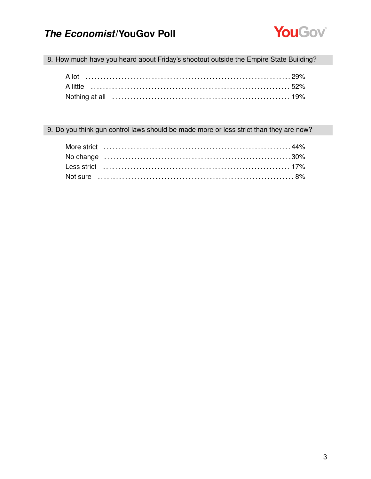

8. How much have you heard about Friday's shootout outside the Empire State Building?

#### 9. Do you think gun control laws should be made more or less strict than they are now?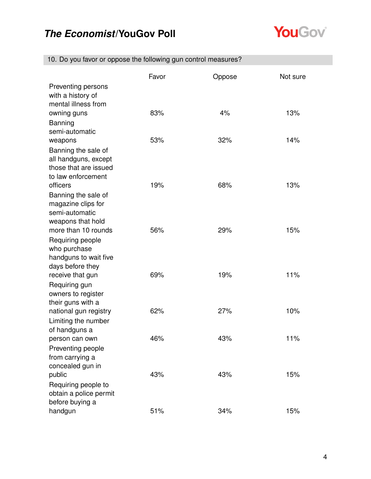

| 10. Do you favor or oppose the following gun control measures? |  |  |
|----------------------------------------------------------------|--|--|
|                                                                |  |  |

|                                      | Favor | Oppose | Not sure |
|--------------------------------------|-------|--------|----------|
| Preventing persons                   |       |        |          |
| with a history of                    |       |        |          |
| mental illness from                  |       |        |          |
| owning guns                          | 83%   | 4%     | 13%      |
| <b>Banning</b><br>semi-automatic     |       |        |          |
|                                      | 53%   | 32%    | 14%      |
| weapons<br>Banning the sale of       |       |        |          |
| all handguns, except                 |       |        |          |
| those that are issued                |       |        |          |
| to law enforcement                   |       |        |          |
| officers                             | 19%   | 68%    | 13%      |
| Banning the sale of                  |       |        |          |
| magazine clips for                   |       |        |          |
| semi-automatic                       |       |        |          |
| weapons that hold                    |       |        |          |
| more than 10 rounds                  | 56%   | 29%    | 15%      |
| Requiring people                     |       |        |          |
| who purchase                         |       |        |          |
| handguns to wait five                |       |        |          |
| days before they<br>receive that gun | 69%   | 19%    | 11%      |
| Requiring gun                        |       |        |          |
| owners to register                   |       |        |          |
| their guns with a                    |       |        |          |
| national gun registry                | 62%   | 27%    | 10%      |
| Limiting the number                  |       |        |          |
| of handguns a                        |       |        |          |
| person can own                       | 46%   | 43%    | 11%      |
| Preventing people                    |       |        |          |
| from carrying a                      |       |        |          |
| concealed gun in                     |       |        |          |
| public                               | 43%   | 43%    | 15%      |
| Requiring people to                  |       |        |          |
| obtain a police permit               |       |        |          |
| before buying a                      |       |        |          |
| handgun                              | 51%   | 34%    | 15%      |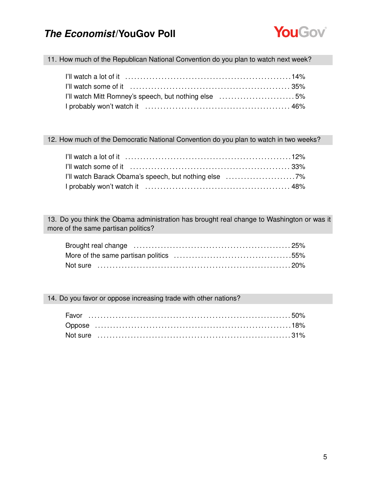

11. How much of the Republican National Convention do you plan to watch next week?

| I'll watch Mitt Romney's speech, but nothing else 5% |  |
|------------------------------------------------------|--|
|                                                      |  |

12. How much of the Democratic National Convention do you plan to watch in two weeks?

| I'll watch Barack Obama's speech, but nothing else 7% |  |
|-------------------------------------------------------|--|
|                                                       |  |

13. Do you think the Obama administration has brought real change to Washington or was it more of the same partisan politics?

14. Do you favor or oppose increasing trade with other nations?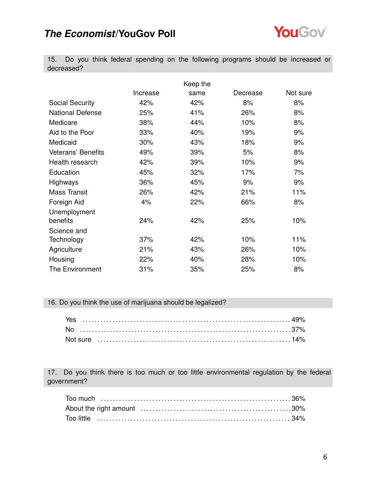

15. Do you think federal spending on the following programs should be increased or decreased?

|                           |          | Keep the |          |          |
|---------------------------|----------|----------|----------|----------|
|                           | Increase | same     | Decrease | Not sure |
| <b>Social Security</b>    | 42%      | 42%      | 8%       | 8%       |
| <b>National Defense</b>   | 25%      | 41%      | 26%      | 8%       |
| Medicare                  | 38%      | 44%      | 10%      | 8%       |
| Aid to the Poor           | 33%      | 40%      | 19%      | 9%       |
| Medicaid                  | 30%      | 43%      | 18%      | 9%       |
| <b>Veterans' Benefits</b> | 49%      | 39%      | 5%       | 8%       |
| Health research           | 42%      | 39%      | 10%      | 9%       |
| Education                 | 45%      | 32%      | 17%      | 7%       |
| <b>Highways</b>           | 36%      | 45%      | 9%       | 9%       |
| <b>Mass Transit</b>       | 26%      | 42%      | 21%      | 11%      |
| Foreign Aid               | 4%       | 22%      | 66%      | 8%       |
| Unemployment              |          |          |          |          |
| benefits                  | 24%      | 42%      | 25%      | 10%      |
| Science and               |          |          |          |          |
| Technology                | 37%      | 42%      | 10%      | 11%      |
| Agriculture               | 21%      | 43%      | 26%      | 10%      |
| Housing                   | 22%      | 40%      | 28%      | 10%      |
| The Environment           | 31%      | 35%      | 25%      | 8%       |

#### 16. Do you think the use of marijuana should be legalized?

| Yes |  |  |  |  |  |  |  |  |  |  |  |  |  |  |  |  |  |  |  |  |  |  |  |  |
|-----|--|--|--|--|--|--|--|--|--|--|--|--|--|--|--|--|--|--|--|--|--|--|--|--|
|     |  |  |  |  |  |  |  |  |  |  |  |  |  |  |  |  |  |  |  |  |  |  |  |  |
|     |  |  |  |  |  |  |  |  |  |  |  |  |  |  |  |  |  |  |  |  |  |  |  |  |

17. Do you think there is too much or too little environmental regulation by the federal government?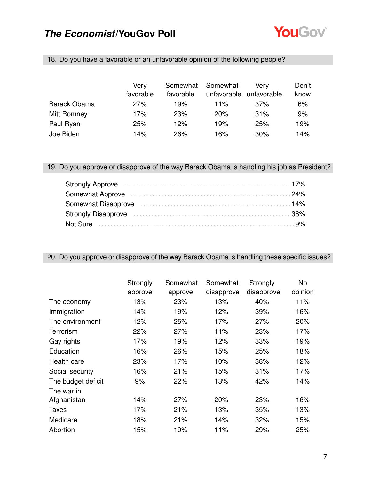

| 18. Do you have a favorable or an unfavorable opinion of the following people? |  |
|--------------------------------------------------------------------------------|--|
|                                                                                |  |

|                     | Very      | Somewhat   | Somewhat    | Verv        | Don't |
|---------------------|-----------|------------|-------------|-------------|-------|
|                     | favorable | favorable  | unfavorable | unfavorable | know  |
| <b>Barack Obama</b> | 27%       | 19%        | 11%         | 37%         | 6%    |
| Mitt Romney         | 17%       | <b>23%</b> | 20%         | 31%         | 9%    |
| Paul Ryan           | 25%       | 12%        | 19%         | 25%         | 19%   |
| Joe Biden           | 14%       | 26%        | 16%         | 30%         | 14%   |

19. Do you approve or disapprove of the way Barack Obama is handling his job as President?

#### 20. Do you approve or disapprove of the way Barack Obama is handling these specific issues?

|                    | Strongly<br>approve | Somewhat<br>approve | Somewhat<br>disapprove | Strongly<br>disapprove | No<br>opinion |
|--------------------|---------------------|---------------------|------------------------|------------------------|---------------|
| The economy        | 13%                 | 23%                 | 13%                    | 40%                    | 11%           |
| Immigration        | 14%                 | 19%                 | 12%                    | 39%                    | 16%           |
| The environment    | 12%                 | 25%                 | 17%                    | 27%                    | 20%           |
| Terrorism          | 22%                 | 27%                 | 11%                    | 23%                    | 17%           |
| Gay rights         | 17%                 | 19%                 | 12%                    | 33%                    | 19%           |
| Education          | 16%                 | 26%                 | 15%                    | 25%                    | 18%           |
| Health care        | 23%                 | 17%                 | 10%                    | 38%                    | 12%           |
| Social security    | 16%                 | 21%                 | 15%                    | 31%                    | 17%           |
| The budget deficit | 9%                  | 22%                 | 13%                    | 42%                    | 14%           |
| The war in         |                     |                     |                        |                        |               |
| Afghanistan        | 14%                 | 27%                 | 20%                    | 23%                    | 16%           |
| <b>Taxes</b>       | 17%                 | 21%                 | 13%                    | 35%                    | 13%           |
| Medicare           | 18%                 | 21%                 | 14%                    | 32%                    | 15%           |
| Abortion           | 15%                 | 19%                 | 11%                    | 29%                    | 25%           |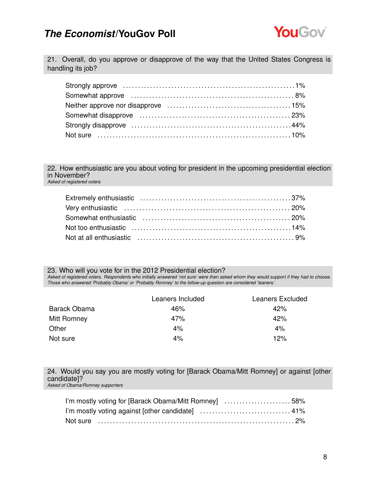

21. Overall, do you approve or disapprove of the way that the United States Congress is handling its job?

22. How enthusiastic are you about voting for president in the upcoming presidential election in November? *Asked of registered voters*

23. Who will you vote for in the 2012 Presidential election? *Asked of registered voters. Respondents who initially answered 'not sure' were then asked whom they would support if they had to choose. Those who answered 'Probably Obama' or 'Probably Romney' to the follow-up question are considered 'leaners.'*

|              | Leaners Included | Leaners Excluded |
|--------------|------------------|------------------|
| Barack Obama | 46%              | 42%              |
| Mitt Romney  | 47%              | 42%              |
| Other        | 4%               | 4%               |
| Not sure     | 4%               | 12%              |

24. Would you say you are mostly voting for [Barack Obama/Mitt Romney] or against [other candidate]? *Asked of Obama/Romney supporters*

| I'm mostly voting for [Barack Obama/Mitt Romney] 58% |  |
|------------------------------------------------------|--|
|                                                      |  |
|                                                      |  |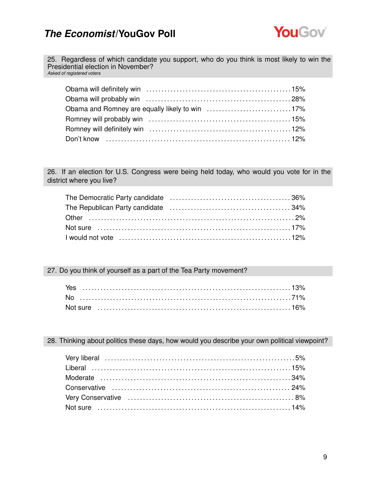

25. Regardless of which candidate you support, who do you think is most likely to win the Presidential election in November? *Asked of registered voters*

26. If an election for U.S. Congress were being held today, who would you vote for in the district where you live?

#### 27. Do you think of yourself as a part of the Tea Party movement?

#### 28. Thinking about politics these days, how would you describe your own political viewpoint?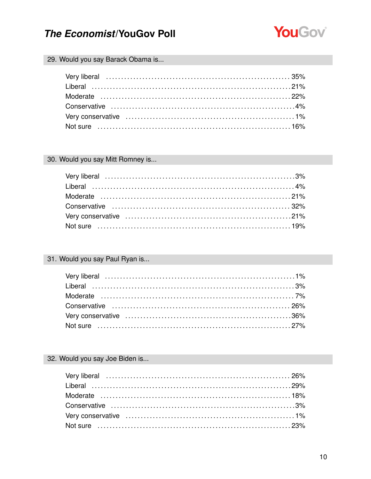

#### 29. Would you say Barack Obama is...

#### 30. Would you say Mitt Romney is...

### 31. Would you say Paul Ryan is...

#### 32. Would you say Joe Biden is...

| Very liberal (and the continuum of the continuum of the continuum of the 26% |  |
|------------------------------------------------------------------------------|--|
|                                                                              |  |
|                                                                              |  |
|                                                                              |  |
|                                                                              |  |
|                                                                              |  |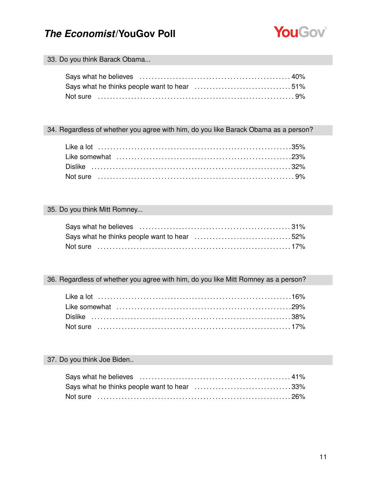

#### 33. Do you think Barack Obama...

#### 34. Regardless of whether you agree with him, do you like Barack Obama as a person?

#### 35. Do you think Mitt Romney...

### 36. Regardless of whether you agree with him, do you like Mitt Romney as a person?

#### 37. Do you think Joe Biden..

| Says what he thinks people want to hear 33% |  |
|---------------------------------------------|--|
| Not sure …………………………………………………………………………26%    |  |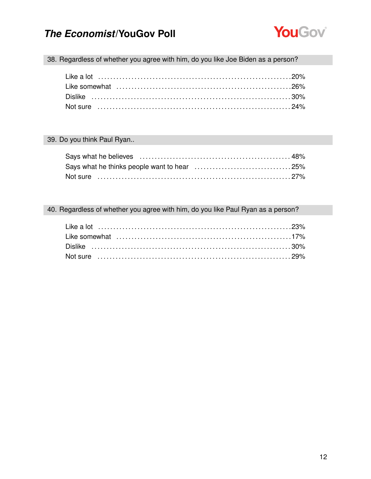

38. Regardless of whether you agree with him, do you like Joe Biden as a person?

#### 39. Do you think Paul Ryan..

#### 40. Regardless of whether you agree with him, do you like Paul Ryan as a person?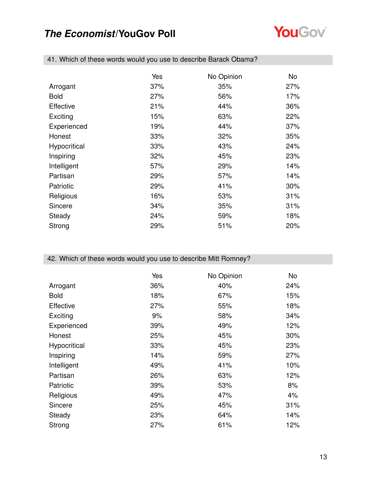

|                  | Yes | No Opinion | No  |
|------------------|-----|------------|-----|
| Arrogant         | 37% | 35%        | 27% |
| <b>Bold</b>      | 27% | 56%        | 17% |
| <b>Effective</b> | 21% | 44%        | 36% |
| Exciting         | 15% | 63%        | 22% |
| Experienced      | 19% | 44%        | 37% |
| Honest           | 33% | 32%        | 35% |
| Hypocritical     | 33% | 43%        | 24% |
| Inspiring        | 32% | 45%        | 23% |
| Intelligent      | 57% | 29%        | 14% |
| Partisan         | 29% | 57%        | 14% |
| Patriotic        | 29% | 41%        | 30% |
| Religious        | 16% | 53%        | 31% |
| Sincere          | 34% | 35%        | 31% |
| Steady           | 24% | 59%        | 18% |
| Strong           | 29% | 51%        | 20% |

41. Which of these words would you use to describe Barack Obama?

#### 42. Which of these words would you use to describe Mitt Romney?

|              | Yes | No Opinion | No  |
|--------------|-----|------------|-----|
| Arrogant     | 36% | 40%        | 24% |
| <b>Bold</b>  | 18% | 67%        | 15% |
| Effective    | 27% | 55%        | 18% |
| Exciting     | 9%  | 58%        | 34% |
| Experienced  | 39% | 49%        | 12% |
| Honest       | 25% | 45%        | 30% |
| Hypocritical | 33% | 45%        | 23% |
| Inspiring    | 14% | 59%        | 27% |
| Intelligent  | 49% | 41%        | 10% |
| Partisan     | 26% | 63%        | 12% |
| Patriotic    | 39% | 53%        | 8%  |
| Religious    | 49% | 47%        | 4%  |
| Sincere      | 25% | 45%        | 31% |
| Steady       | 23% | 64%        | 14% |
| Strong       | 27% | 61%        | 12% |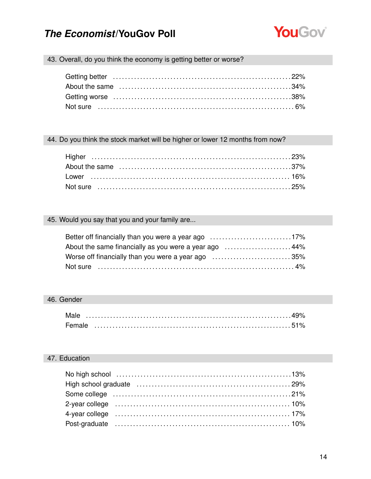

### 43. Overall, do you think the economy is getting better or worse?

#### 44. Do you think the stock market will be higher or lower 12 months from now?

#### 45. Would you say that you and your family are...

| Better off financially than you were a year ago 17%   |  |
|-------------------------------------------------------|--|
| About the same financially as you were a year ago 44% |  |
| Worse off financially than you were a year ago 35%    |  |
|                                                       |  |

#### 46. Gender

| Male   |  |  |  |  |  |  |  |  |  |  |  |  |  |  |  |  |  |
|--------|--|--|--|--|--|--|--|--|--|--|--|--|--|--|--|--|--|
| Female |  |  |  |  |  |  |  |  |  |  |  |  |  |  |  |  |  |

#### 47. Education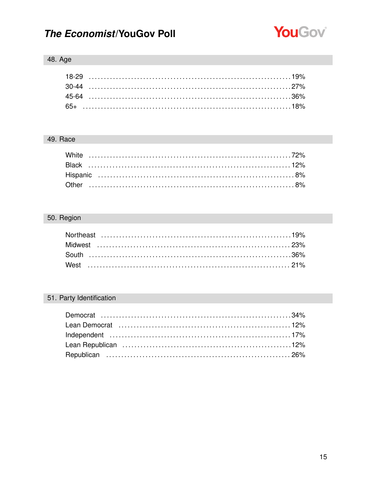

### 48. Age

#### 49. Race

### 50. Region

### 51. Party Identification

| Lean Democrat (and the continuum of the canonical contract the canonical text in 12% |
|--------------------------------------------------------------------------------------|
|                                                                                      |
|                                                                                      |
|                                                                                      |
|                                                                                      |